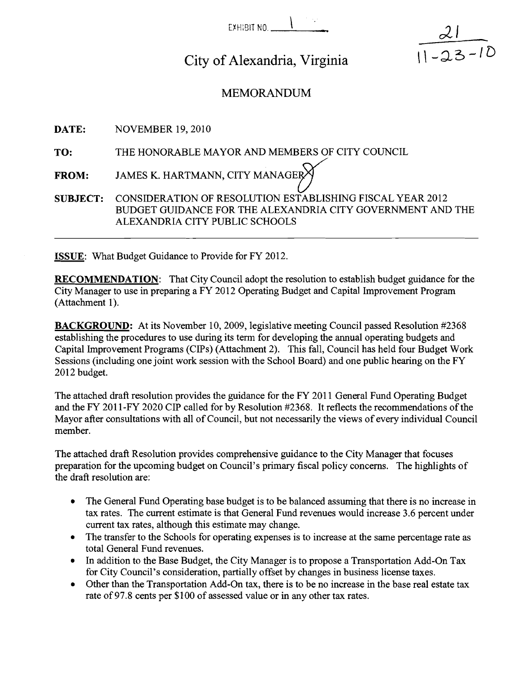E%H:BIT **NO.** \ .-

# City of Alexandria, Virginia

# $\frac{21}{11-23-10}$

## MEMORANDUM

**DATE:** NOVEMBER 19, 2010

**TO:** THE HONORABLE MAYOR AND MEMBERS OF CITY COUNCIL

**FROM:** JAMES K. HARTMANN, CITY MANAGER

 $U_{\rm{m}}$ **SUBJECT:** CONSIDERATION OF RESOLUTION ESTABLISHING FISCAL YEAR 2012 BUDGET GUIDANCE FOR THE ALEXANDRIA CITY GOVERNMENT AND THE ALEXANDRIA CITY PUBLIC SCHOOLS

**ISSUE:** What Budget Guidance to Provide for FY 2012.

**RECOMMENDATION:** That City Council adopt the resolution to establish budget guidance for the City Manager to use in preparing a FY 2012 Operating Budget and Capital Improvement Program (Attachment 1).

**BACKGROUND:** At its November 10, 2009, legislative meeting Council passed Resolution #2368 establishing the procedures to use during its term for developing the annual operating budgets and Capital Improvement Programs (CIPs) (Attachment 2). This fall, Council has held four Budget Work Sessions (including one joint work session with the School Board) and one public hearing on the FY 2012 budget.

The attached draft resolution provides the guidance for the FY 2011 General Fund Operating Budget and the FY 2011-FY 2020 CIP called for by Resolution #2368. It reflects the recommendations of the Mayor after consultations with all of Council, but not necessarily the views of every individual Council member.

The attached draft Resolution provides comprehensive guidance to the City Manager that focuses preparation for the upcoming budget on Council's primary fiscal policy concerns. The highlights of the draft resolution are:

- The General Fund Operating base budget is to be balanced assuming that there is no increase in tax rates. The current estimate is that General Fund revenues would increase 3.6 percent under current tax rates, although this estimate may change.
- The transfer to the Schools for operating expenses is to increase at the same percentage rate as total General Fund revenues.
- In addition to the Base Budget, the City Manager is to propose a Transportation Add-On Tax for City Council's consideration, partially offset by changes in business license taxes.
- Other than the Transportation Add-On tax, there is to be no increase in the base real estate tax rate of 97.8 cents per \$100 of assessed value or in any other tax rates.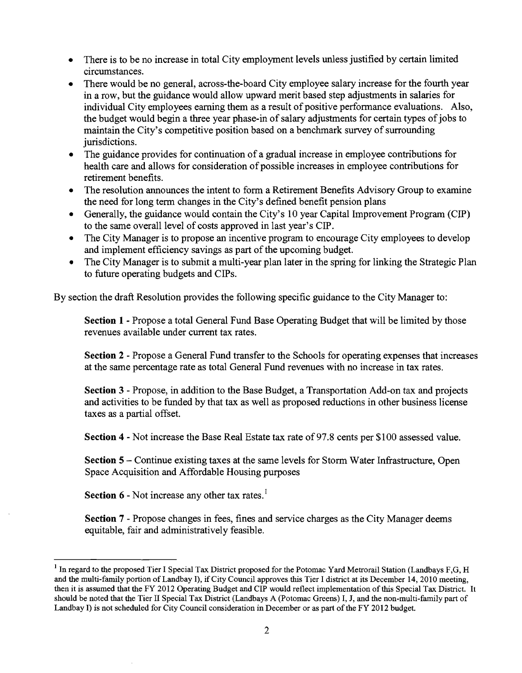- There is to be no increase in total City employment levels unless justified by certain limited  $\bullet$ circumstances.
- There would be no general, across-the-board City employee salary increase for the fourth year in a row, but the guidance would allow upward merit based step adjustments in salaries for individual City employees earning them as a result of positive performance evaluations. Also, the budget would begin a three year phase-in of salary adjustments for certain types of jobs to maintain the City's competitive position based on a benchmark survey of surrounding jurisdictions.
- The guidance provides for continuation of a gradual increase in employee contributions for  $\bullet$ health care and allows for consideration of possible increases in employee contributions for retirement benefits.
- The resolution announces the intent to form a Retirement Benefits Advisory Group to examine the need for long term changes in the City's defined benefit pension plans
- Generally, the guidance would contain the City's 10 year Capital Improvement Program (CIP)  $\bullet$ to the same overall level of costs approved in last year's CP.
- The City Manager is to propose an incentive program to encourage City employees to develop  $\bullet$ and implement efficiency savings as part of the upcoming budget.
- The City Manager is to submit a multi-year plan later in the spring for linking the Strategic Plan to future operating budgets and CIPs.

By section the draft Resolution provides the following specific guidance to the City Manager to:

**Section 1** - Propose a total General Fund Base Operating Budget that will be limited by those revenues available under current tax rates.

**Section 2** - Propose a General Fund transfer to the Schools for operating expenses that increases at the same percentage rate as total General Fund revenues with no increase in tax rates.

**Section 3** - Propose, in addition to the Base Budget, a Transportation Add-on tax and projects and activities to be funded by that tax as well as proposed reductions in other business license taxes as a partial offset.

**Section 4** - Not increase the Base Real Estate tax rate of 97.8 cents per \$100 assessed value.

**Section 5** – Continue existing taxes at the same levels for Storm Water Infrastructure, Open Space Acquisition and Affordable Housing purposes

**Section 6 - Not increase any other tax rates.**<sup>1</sup>

**Section 7** - Propose changes in fees, fines and service charges as the City Manager deems equitable, fair and administratively feasible.

<sup>&</sup>lt;sup>1</sup> In regard to the proposed Tier I Special Tax District proposed for the Potomac Yard Metrorail Station (Landbays F,G, H and the multi-family portion of Landbay I), if City Council approves this Tier I district at its December 14,2010 meeting, then it is assumed that the FY 2012 Operating Budget and CIP would reflect implementation of this Special Tax District. It should be noted that the Tier **II** Special Tax District (Landbays **A** (Potomac Greens) I, J, and the non-multi-family part of Landbay I) is not scheduled for City Council consideration in December or as part of the FY 2012 budget.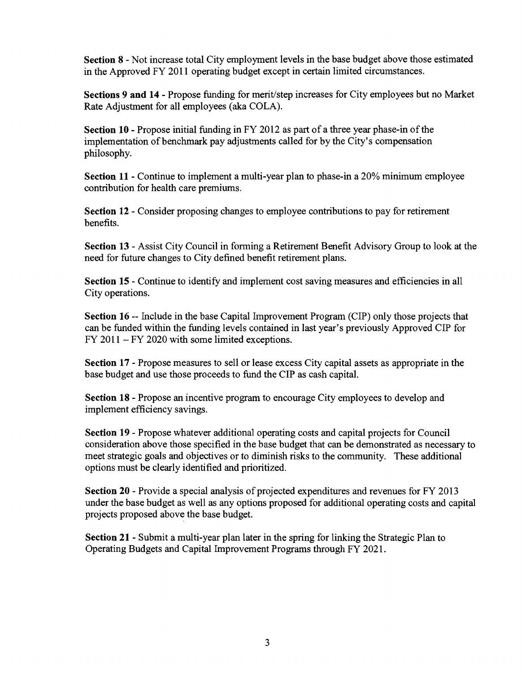**Section 8** - Not increase total City employment levels in the base budget above those estimated in the Approved FY 2011 operating budget except in certain limited circumstances.

Sections 9 and 14 - Propose funding for merit/step increases for City employees but no Market Rate Adjustment for all employees (aka COLA).

**Section 10** - Propose initial funding in FY 2012 as part of a three year phase-in of the implementation of benchmark pay adjustments called for by the City's compensation philosophy.

**Section 11** - Continue to implement a multi-year plan to phase-in a 20% minimum employee contribution for health care premiums.

**Section 12** - Consider proposing changes to employee contributions to pay for retirement benefits.

**Section 13** - Assist City Council in forming a Retirement Benefit Advisory Group to look at the need for future changes to City defined benefit retirement plans.

**Section 15** - Continue to identify and implement cost saving measures and efficiencies in all City operations.

**Section 16** -- Include in the base Capital Improvement Program (CIP) only those projects that can be funded within the fimding levels contained in last year's previously Approved CIP for  $FY 2011 - FY 2020$  with some limited exceptions.

**Section 17** - Propose measures to sell or lease excess City capital assets as appropriate in the base budget and use those proceeds to fund the CIP as cash capital.

**Section 18** - Propose an incentive program to encourage City employees to develop and implement efficiency savings.

**Section 19** - Propose whatever additional operating costs and capital projects for Council consideration above those specified in the base budget that can be demonstrated as necessary to meet strategic goals and objectives or to diminish risks to the community. These additional options must be clearly identified and prioritized.

**Section 20** - Provide a special analysis of projected expenditures and revenues for FY 2013 under the base budget as well as any options proposed for additional operating costs and capital projects proposed above the base budget.

**Section 21** - Submit a multi-year plan later in the spring for linking the Strategic Plan to Operating Budgets and Capital Improvement Programs through FY 2021.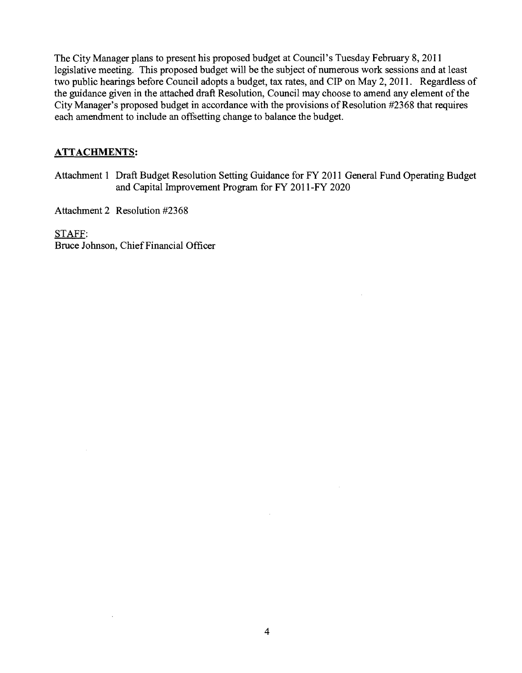The City Manager plans to present his proposed budget at Council's Tuesday February 8, 2011 legislative meeting. This proposed budget will be the subject of numerous work sessions and at least two public hearings before Council adopts a budget, tax rates, and CIP on May 2, 2011. Regardless of the guidance given in the attached draft Resolution, Council may choose to amend any element of the City Manager's proposed budget in accordance with the provisions of Resolution #2368 that requires each amendment to include an offsetting change to balance the budget.

#### **ATTACHMENTS:**

Attachment 1 Draft Budget Resolution Setting Guidance for FY 2011 General Fund Operating Budget and Capital Improvement Program for FY 2011-FY 2020

Attachment 2 Resolution #2368

STAFF: Bruce Johnson, Chief Financial Officer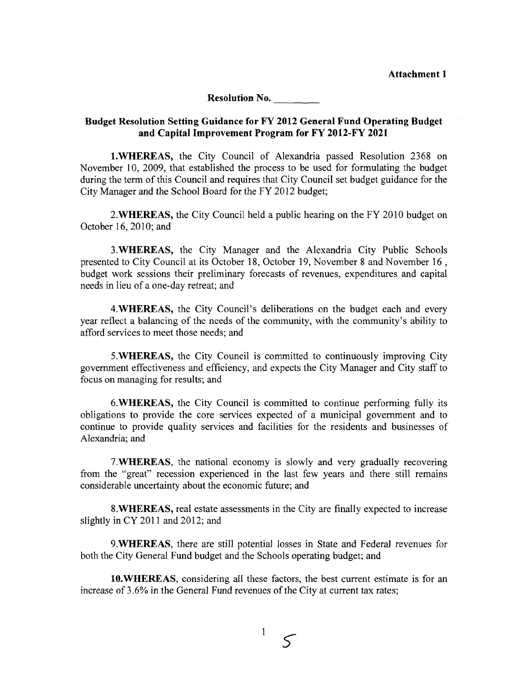Attachment 1

Resolution **No.** 

#### Budget Resolution Setting Guidance for FY 2012 General Fund Operating Budget and Capital Improvement Program for FY 2012-FY 2021

l.WHEREAS, the City Council of Alexandria passed Resolution 2368 on November 10, 2009, that established the process to be used for formulating the budget during the term of this Council and requires that City Council set budget guidance for the City Manager and the School Board for the FY 2012 budget;

2.WHEREAS, the City Council held a public hearing on the FY 2010 budget on October 16, 2010; and

3.WHEREAS, the City Manager and the Alexandria City Public Schools presented to City Council at its October 18, October 19, November 8 and November 16, budget work sessions their preliminary forecasts of revenues, expenditures and capital needs in lieu of a one-day retreat; and

4.WHEREAS, the City Council's deliberations on the budget each and every year reflect a balancing of the needs of the community, with the community's ability to afford services to meet those needs; and

S.WHEREAS, the City Council is committed to continuously improving City government effectiveness and efficiency, and expects the City Manager and City staff to focus on managing for results; and

6.WHEREAS, the City Council is committed to continue performing fully its obligations to provide the core services expected of a municipal government and to continue to provide quality services and facilities for the residents and businesses of Alexandria; and

7.WHEREAS, the national economy is slowly and very gradually recovering from the "great" recession experienced in the last few years and there still remains considerable uncertainty about the economic future; and

8.WHEREAS, real estate assessments in the City are finally expected to increase slightly in CY 2011 and 2012; and

9.WHEREAS, there are still potential losses in State and Federal revenues for both the City General Fund budget and the Schools operating budget; and

lO.WHEREAS, considering all these factors, the best current estimate is for an increase of 3.6% in the General Fund revenues of the City at current tax rates;

 $\mathbf{1}$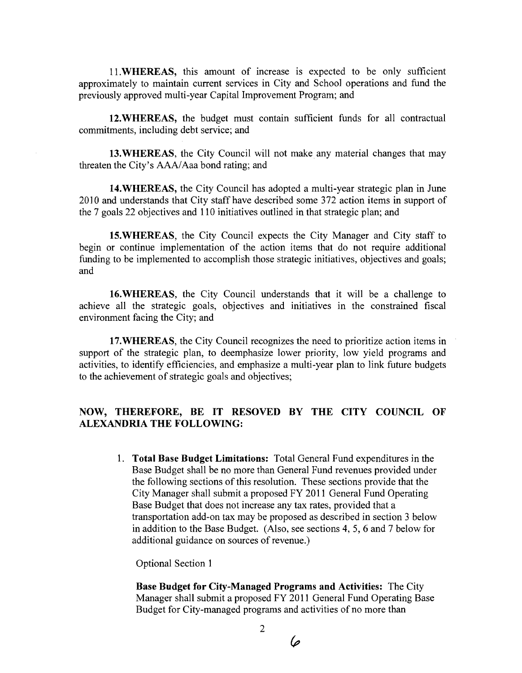ll.WHEREAS, this amount of increase is expected to be only sufficient approximately to maintain current services in City and School operations and fund the previously approved multi-year Capital Improvement Program; and

12.WHEREAS, the budget must contain sufficient funds for all contractual commitments, including debt service; and

13. WHEREAS, the City Council will not make any material changes that may threaten the City's AAAIAaa bond rating; and

14.WHEREAS, the City Council has adopted a multi-year strategic plan in June 2010 and understands that City staff have described some 372 action items in support of the 7 goals 22 objectives and 1 10 initiatives outlined in that strategic plan; and

lS.WHEREAS, the City Council expects the City Manager and City staff to begin or continue implementation of the action items that do not require additional funding to be implemented to accomplish those strategic initiatives, objectives and goals; and

16. WHEREAS, the City Council understands that it will be a challenge to achieve all the strategic goals, objectives and initiatives in the constrained fiscal environment facing the City; and

17. WHEREAS, the City Council recognizes the need to prioritize action items in support of the strategic plan, to deemphasize lower priority, low yield programs and activities, to identify efficiencies, and emphasize a multi-year plan to link future budgets to the achievement of strategic goals and objectives;

#### NOW, THEREFORE, BE IT RESOVED BY THE CITY COUNCIL OF ALEXANDRIA THE FOLLOWING:

1. Total Base Budget Limitations: Total General Fund expenditures in the Base Budget shall be no more than General Fund revenues provided under the following sections of this resolution. These sections provide that the City Manager shall submit a proposed FY 2011 General Fund Operating Base Budget that does not increase any tax rates, provided that a transportation add-on tax may be proposed as described in section **3** below in addition to the Base Budget. (Also, see sections 4, 5,6 and 7 below for additional guidance on sources of revenue.)

Optional Section I

Base Budget for City-Managed Programs and Activities: The City Manager shall submit a proposed FY 2011 General Fund Operating Base Budget for City-managed programs and activities of no more than

6

 $\overline{2}$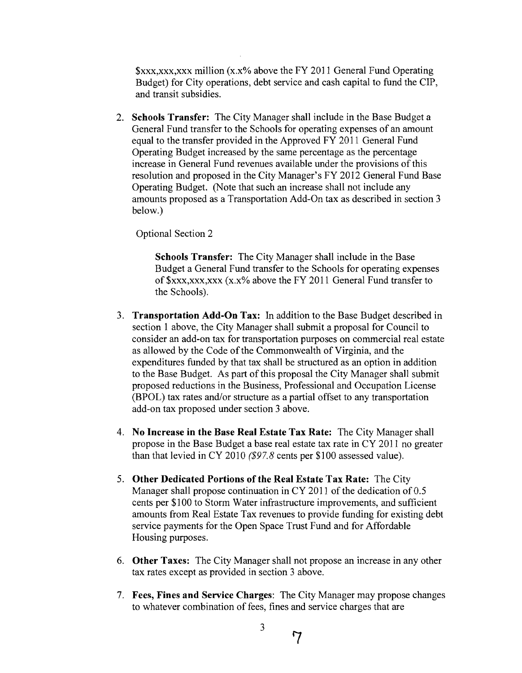$\frac{8}{x}$ xx, xxx, xxx million (x.x% above the FY 2011 General Fund Operating Budget) for City operations, debt service and cash capital to fund the CIP, and transit subsidies.

**Schools Transfer:** The City Manager shall include in the Base Budget a General Fund transfer to the Schools for operating expenses of an amount equal to the transfer provided in the Approved FY 2011 General Fund Operating Budget increased by the same percentage as the percentage increase in General Fund revenues available under the provisions of this resolution and proposed in the City Manager's FY 2012 General Fund Base Operating Budget. (Note that such an increase shall not include any amounts proposed as a Transportation Add-On tax as described in section **3**  below.)

Optional Section 2

**Schools Transfer:** The City Manager shall include in the Base Budget a General Fund transfer to the Schools for operating expenses of  $xxx,xxx,xxx$  (x,x% above the FY 2011 General Fund transfer to the Schools).

- **3. Transportation Add-On Tax:** In addition to the Base Budget described in section 1 above, the City Manager shall submit a proposal for Council to consider an add-on tax for transportation purposes on commercial real estate as allowed by the Code of the Commonwealth of Virginia, and the expenditures funded by that tax shall be structured as an option in addition to the Base Budget. As part of this proposal the City Manager shall submit proposed reductions in the Business, Professional and Occupation License (BPOL) tax rates and/or structure as a partial offset to any transportation add-on tax proposed under section 3 above.
- 4. **No Increase in the Base Real Estate Tax Rate:** The City Manager shall propose in the Base Budget a base real estate tax rate in CY 2011 no greater than that levied in CY 2010  $(S97.8 \text{ cents per } $100 \text{ assessed value}).$
- 5. **Other Dedicated Portions of the Real Estate Tax Rate:** The City Manager shall propose continuation in CY 2011 of the dedication of  $0.5$ cents per \$100 to Storm Water infrastructure improvements, and sufficient amounts from Real Estate Tax revenues to provide funding for existing debt service payments for the Open Space Trust Fund and for Affordable Housing purposes.
- **6. Other Taxes:** The City Manager shall not propose an increase in any other tax rates except as provided in section **3** above.
- 7. **Fees, Fines and Service Charges:** The City Manager may propose changes to whatever combination of fees, fines and service charges that are

 $\mathcal{V}$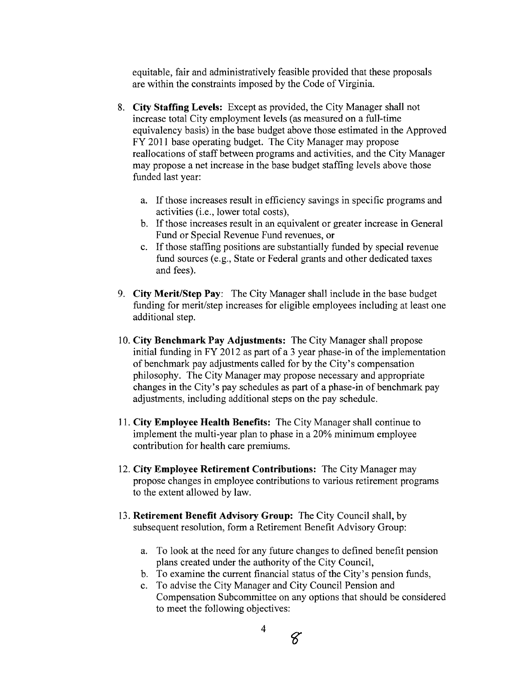equitable, fair and administratively feasible provided that these proposals are within the constraints imposed by the Code of Virginia.

- **8. City Staffing Levels:** Except as provided, the City Manager shall not increase total City employment levels (as measured on a full-time equivalency basis) in the base budget above those estimated in the Approved FY 2011 base operating budget. The City Manager may propose reallocations of staff between programs and activities, and the City Manager may propose a net increase in the base budget staffing levels above those funded last year:
	- a. If those increases result in efficiency savings in specific programs and activities (i.e., lower total costs),
	- b. If those increases result in an equivalent or greater increase in General Fund or Special Revenue Fund revenues, or
	- c. If those staffing positions are substantially funded by special revenue fund sources (e.g., State or Federal grants and other dedicated taxes and fees).
- 9. City Merit/Step Pay: The City Manager shall include in the base budget funding for merit/step increases for eligible employees including at least one additional step.
- 10. **City Benchmark Pay Adjustments:** The City Manager shall propose initial funding in FY 2012 as part of a 3 year phase-in of the implementation of benchmark pay adjustments called for by the City's compensation philosophy. The City Manager may propose necessary and appropriate changes in the City's pay schedules as part of a phase-in of benchmark pay adjustments, including additional steps on the pay schedule.
- 1 1. **City Employee Health Benefits:** The City Manager shall continue to implement the multi-year plan to phase in a 20% minimum employee contribution for health care premiums.
- 12. **City Employee Retirement Contributions:** The City Manager may propose changes in employee contributions to various retirement programs to the extent allowed by law.
- 13. **Retirement Benefit Advisory Group:** The City Council shall, by subsequent resolution, form a Retirement Benefit Advisory Group:
	- a. To look at the need for any future changes to defined benefit pension plans created under the authority of the City Council,
	- b. To examine the current financial status of the City's pension funds,
	- c. To advise the City Manager and City Council Pension and Compensation Subcommittee on any options that should be considered to meet the following objectives:

 $\mathcal{C}$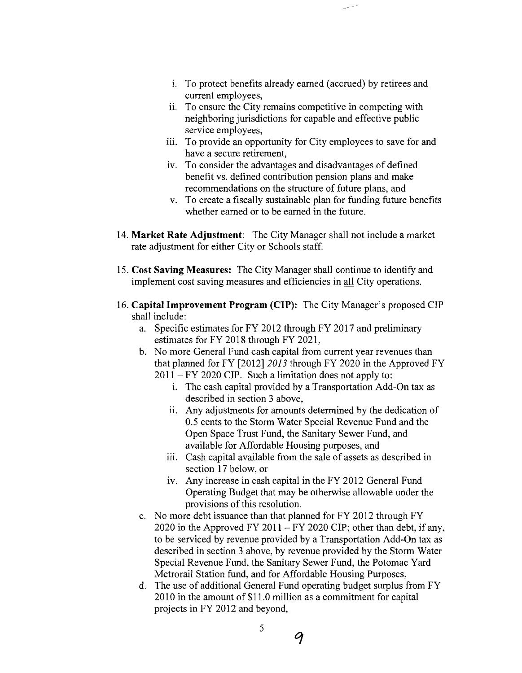- i. To protect benefits already earned (accrued) by retirees and current employees,
- ii. To ensure the City remains competitive in competing with neighboring jurisdictions for capable and effective public service employees,
- iii. To provide an opportunity for City employees to save for and have a secure retirement,
- iv. To consider the advantages and disadvantages of defined benefit vs. defined contribution pension plans and make recommendations on the structure of future plans, and
- v. To create a fiscally sustainable plan for funding future benefits whether earned or to be earned in the future.
- 14. Market Rate Adjustment: The City Manager shall not include a market rate adjustment for either City or Schools staff.
- 15. Cost Saving Measures: The City Manager shall continue to identify and implement cost saving measures and efficiencies in all City operations.
- 16. Capital Improvement Program (CIP): The City Manager's proposed CIP shall include:
	- a. Specific estimates for FY 2012 through FY 2017 and preliminary estimates for FY 2018 through FY 2021,
	- b. No more General Fund cash capital from current year revenues than that planned for FY [2012] 2013 through FY 2020 in the Approved FY  $2011 - FY 2020$  CIP. Such a limitation does not apply to:
		- i. The cash capital provided by a Transportation Add-On tax as described in section 3 above,
		- ii. Any adjustments for amounts determined by the dedication of 0.5 cents to the Storm Water Special Revenue Fund and the Open Space Trust Fund, the Sanitary Sewer Fund, and available for Affordable Housing purposes, and
		- iii. Cash capital available from the sale of assets as described in section 17 below, or
		- iv. Any increase in cash capital in the FY 2012 General Fund Operating Budget that may be otherwise allowable under the provisions of this resolution.
	- c. No more debt issuance than that planned for FY 2012 through FY 2020 in the Approved FY 2011  $-$  FY 2020 CIP; other than debt, if any, to be serviced by revenue provided by a Transportation Add-On tax as described in section 3 above, by revenue provided by the Storm Water Special Revenue Fund, the Sanitary Sewer Fund, the Potomac Yard Metrorail Station fund, and for Affordable Housing Purposes,
	- d. The use of additional General Fund operating budget surplus from FY 20 10 in the amount of \$1 1.0 million as a commitment for capital projects in FY 2012 and beyond,

9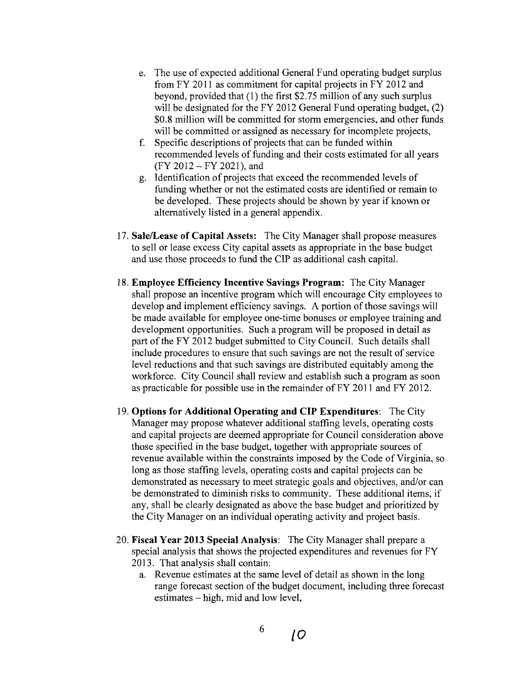- e. The use of expected additional General Fund operating budget surplus from FY 2011 as commitment for capital projects in FY 2012 and beyond, provided that (1) the first \$2.75 million of any such surplus will be designated for the FY 2012 General Fund operating budget, (2) \$0.8 million will be committed for storm emergencies, and other finds will be committed or assigned as necessary for incomplete projects,
- f. Specific descriptions of projects that can be funded within recommended levels of funding and their costs estimated for all years (FY 2012 - FY 2021), and
- g. Identification of projects that exceed the recommended levels of funding whether or not the estimated costs are identified or remain to be developed. These projects should be shown by year if known or alternatively listed in a general appendix.
- 17. **Sale/Lease of Capital Assets:** The City Manager shall propose measures to sell or lease excess City capital assets as appropriate in the base budget and use those proceeds to fund the CIP as additional cash capital.
- 18. **Employee Efficiency Incentive Savings Program:** The City Manager shall propose an incentive program which will encourage City employees to develop and implement efficiency savings. A portion of those savings will be made available for employee one-time bonuses or employee training and development opportunities. Such a program will be proposed in detail as part of the FY 2012 budget submitted to City Council. Such details shall include procedures to ensure that such savings are not the result of service level reductions and that such savings are distributed equitably among the workforce. City Council shall review and establish such a program as soon as practicable for possible use in the remainder of FY 2011 and FY 2012.
- 19. **Options for Additional Operating and CIP Expenditures:** The City Manager may propose whatever additional staffing levels, operating costs and capital projects are deemed appropriate for Council consideration above those specified in the base budget, together with appropriate sources of revenue available within the constraints imposed by the Code of Virginia, so long as those staffing levels, operating costs and capital projects can be demonstrated as necessary to meet strategic goals and objectives, and/or can be demonstrated to diminish risks to community. These additional items, if any, shall be clearly designated as above the base budget and prioritized by the City Manager on an individual operating activity and project basis.
- 20. **Fiscal Year 2013 Special Analysis:** The City Manager shall prepare a special analysis that shows the projected expenditures and revenues for FY 2013. That analysis shall contain:
	- a. Revenue estimates at the same level of detail as shown in the long range forecast section of the budget document, including three forecast  $estimates - high, mid and low level,$

10

6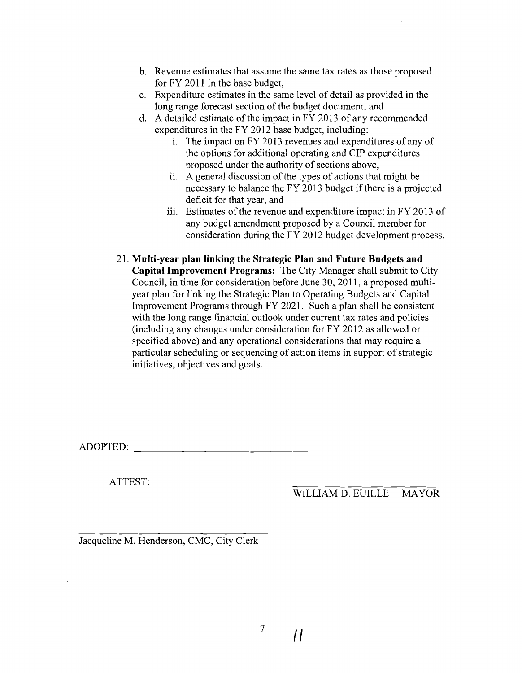- b. Revenue estimates that assume the same tax rates as those proposed for  $FY$  2011 in the base budget,
- c. Expenditure estimates in the same level of detail as provided in the long range forecast section of the budget document, and
- d. A detailed estimate of the impact in  $FY$  2013 of any recommended expenditures in the FY 2012 base budget, including:
	- i. The impact on FY 2013 revenues and expenditures of any of the options for additional operating and CIP expenditures proposed under the authority of sections above,
	- ii. A general discussion of the types of actions that might be necessary to balance the FY 2013 budget if there is a projected deficit for that year, and
	- iii. Estimates of the revenue and expenditure impact in FY 2013 of any budget amendment proposed by a Council member for consideration during the FY 2012 budget development process.
- 2 1. **Multi-year plan linking the Strategic Plan and Future Budgets and Capital Improvement Programs:** The City Manager shall submit to City Council, in time for consideration before June 30, 2011, a proposed multiyear plan for linking the Strategic Plan to Operating Budgets and Capital Improvement Programs through FY 2021. Such a plan shall be consistent with the long range financial outlook under current tax rates and policies (including any changes under consideration for  $FY$  2012 as allowed or specified above) and any operational considerations that may require a particular scheduling or sequencing of action items in support of strategic initiatives, objectives and goals.

ADOPTED: 

ATTEST:

WILLIAM D. EUILLE MAYOR

Jacqueline M. Henderson, CMC, City Clerk

 $\overline{11}$ 

 $\overline{7}$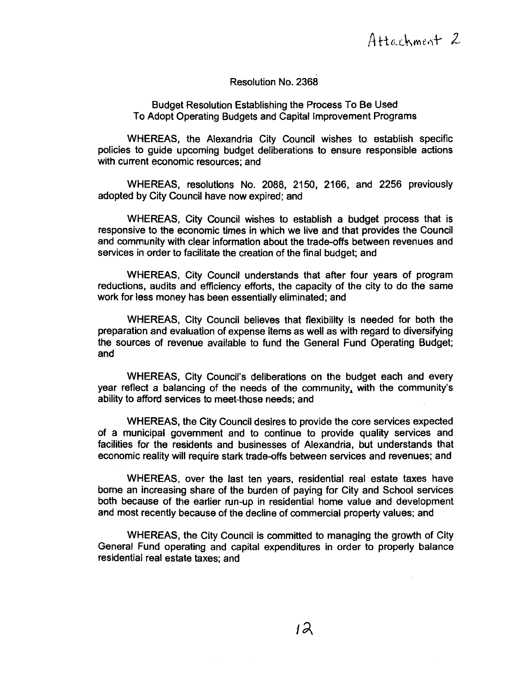#### Resolution No. 2368

Budget Resolution Establishing the Process To Be Used To Adopt Operating Budgets and Capital Improvement Programs

WHEREAS, the Alexandria City Council wishes to establish specific policies to guide upcoming budget deliberations to ensure responsible actions with current economic resources; and

WHEREAS, resolutions No. 2088, 2150, 2166, and 2256 previously adopted by City Council have now expired; and

WHEREAS, City Council wishes to establish a budget process that is responsive to the economic times in which we live and that provides the Council and community with clear information about the trade-offs between revenues and services in order to facilitate the creation of the final budget; and

WHEREAS, City Council understands that after four years of program reductions, audits and efficiency efforts, the capacity of the city to do the same work for less money has been essentially eliminated; and

WHEREAS, City Council believes that flexibility is needed for both the preparation and evaluation of expense items as well as with regard to diversifying the sources of revenue available to fund the General Fund Operating Budget; and

WHEREAS, City Council's deliberations on the budget each and every year reflect a balancing of the needs of the community, with the community's ability to afford services to meet-those needs; and

WHEREAS, the City Council desires to provide the core services expected of a municipal government and to continue to provide quality services and facilities for the residents and businesses of Alexandria, but understands that economic reality will require stark trade-offs between services and revenues; and

WHEREAS, over the last ten years, residential real estate taxes have borne an increasing share of the burden of paying for City and School services both because of the earlier run-up in residential home value and development and most recently because of the decline of commercial property values; and

WHEREAS, the City Council is committed to managing the growth of City General Fund operating and capital expenditures in order to properly balance residential real estate taxes; and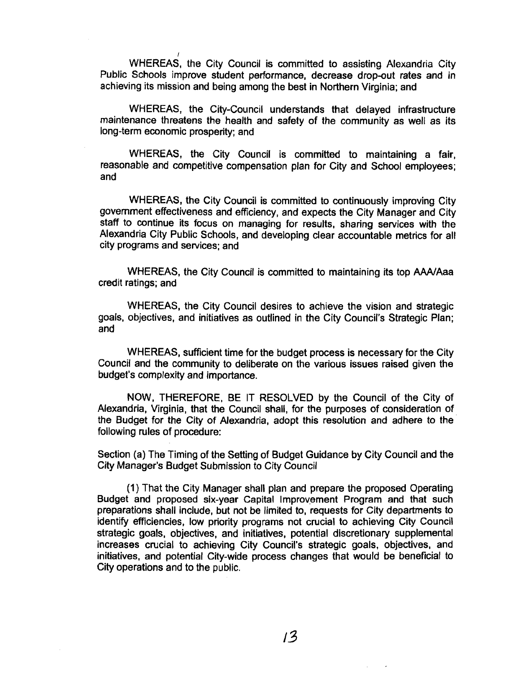WHEREAS, the City Council is committed to assisting Alexandria City Public Schools improve student performance, decrease drop-out rates and in achieving its mission and being among the best in Northern Virginia; and

WHEREAS, the City-Council understands that delayed infrastructure maintenance threatens the health and safety of the community as well as its long-term economic prosperity; and

WHEREAS, the City Council is committed to maintaining a fair, reasonable and competitive compensation plan for City and School employees; and

WHEREAS, the City Council is committed to continuously improving City government effectiveness and efficiency, and expects the City Manager and City staff to continue its focus on managing for results, sharing services with the Alexandria City Public Schools, and developing clear accountable metrics for all city programs and services; and

WHEREAS, the City Council is committed to maintaining its top AAA/Aaa credit ratings; and

WHEREAS, the City Council desires to achieve the vision and strategic goals, objectives, and initiatives as outlined in the City Council's Strategic Plan; and

WHEREAS, sufficient time for the budget process is necessary for the City Council and the community to deliberate on the various issues raised given the budget's complexity and importance.

NOW, THEREFORE, BE IT RESOLVED by the Council of the City of Alexandria, Virginia, that the Council shall, for the purposes of consideration of the Budget for the City of Alexandria, adopt this resolution and adhere to the following rules of procedure:

Section (a) The Timing of the Setting of Budget Guidance by City Council and the City Manager's Budget Submission to City Council

(1) That the City Manager shall plan and prepare the proposed Operating Budget and proposed six-year Capital Improvement Program and that such preparations shall include, but not be limited to, requests for City departments to identify efficiencies, low priority programs not crucial to achieving City Council strategic goals, objectives, and initiatives, potential discretionary supplemental increases crucial to achieving City Council's strategic goals, objectives, and initiatives, and potential City-wide process changes that would be beneficial to City operations and to the public.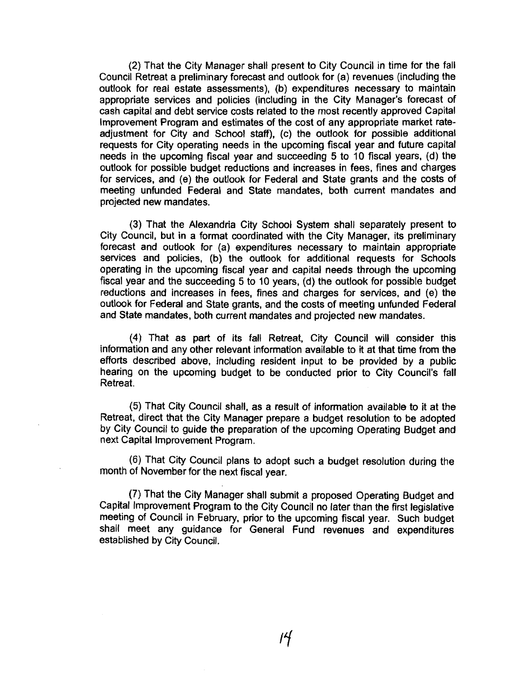(2) That the City Manager shall present to City Council in time for the fall Council Retreat a preliminary forecast and outlook for (a) revenues (including the outlook for real estate assessments), (b) expenditures necessary to maintain appropriate services and policies (including in the City Manager's forecast of cash capital and debt service costs related to the most recently approved Capital lmprovement Program and estimates of the cost of any appropriate market rateadjustment for City and School staff), (c) the outlook for possible additional requests for City operating needs in the upcoming fiscal year and future capital needs in the upcoming fiscal year and succeeding 5 to 10 fiscal years, (d) the outlook for possible budget reductions and increases in fees, fines and charges for services, and (e) the outlook for Federal and State grants and the costs of meeting unfunded Federal and State mandates, both current mandates and projected new mandates.

(3) That the Alexandria City School System shall separately present to City Council, but in a format coordinated with the City Manager, its preliminary forecast and outlook for (a) expenditures necessary to maintain appropriate services and policies, (b) the outlook for additional requests for Schools operating in the upcoming fiscal year and capital needs through the upcoming fiscal year and the succeeding 5 to 10 years, (d) the outlook for possible budget reductions and increases in fees, fines and charges for services, and (e) the outlook for Federal and State grants, and the costs of meeting unfunded Federal and State mandates, both current mandates and projected new mandates.

(4) That as part of its fall Retreat, City Council will consider this information and any other relevant information available to it at that time from the efforts described above, including resident input to be provided by a public hearing on the upcoming budget to be conducted prior to City Council's fall Retreat.

(5) That City Council shall, as a result of information available to it at the Retreat, direct that the City Manager prepare a budget resolution to be adopted by City Council to guide the preparation of the upcoming Operating Budget and next Capital lmprovement Program.

(6) That City Council plans to adopt such a budget resolution during the month of November for the next fiscal year.

(7) That the City Manager shall submit a proposed Operating Budget and Capital lmprovement Program to the City Council no later than the first legislative meeting of Council in February, prior to the upcoming fiscal year. Such budget shall meet any guidance for General Fund revenues and expenditures established by City Council.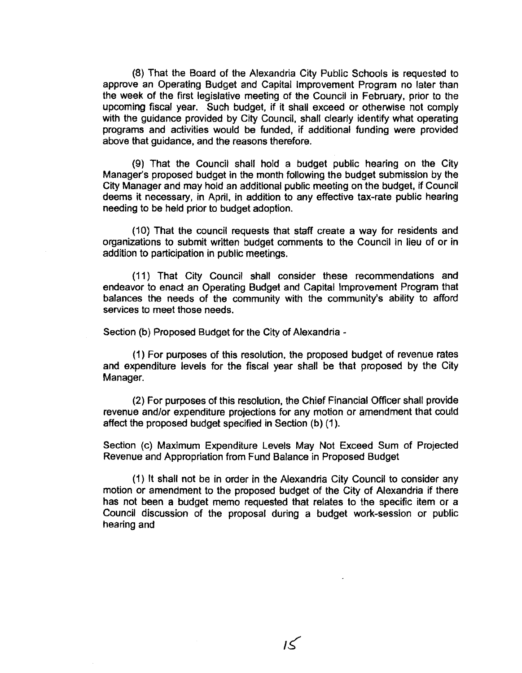(8) That the Board of the Alexandria City Public Schools is requested to approve an Operating Budget and Capital lmprovement Program no later than the week of the first legislative meeting of the Council in February, prior to the upcoming fiscal year. Such budget, if it shall exceed or otherwise not comply with the guidance provided by City Council, shall clearly identify what operating programs and activities would be funded, if additional funding were provided above that guidance, and the reasons therefore.

(9) That the Council shall hold a budget public hearing on the City Manager's proposed budget in the month following the budget submission by the City Manager and may hold an additional public meeting on the budget, if Council deems it necessary, in April, in addition to any effective tax-rate public hearing needing to be held prior to budget adoption.

(10) That the council requests that staff create a way for residents and organizations to submit written budget comments to the Council in lieu of or in addition to participation in public meetings.

(11) That City Council shall consider these recommendations and endeavor to enact an Operating Budget and Capital lmprovement Program that balances the needs of the community with the community's ability to afford services to meet those needs.

Section (b) Proposed Budget for the City of Alexandria -

(1) For purposes of this resolution, the proposed budget of revenue rates and expenditure levels for the fiscal year shall be that proposed by the City Manager.

(2) For purposes of this resolution, the Chief Financial Officer shall provide revenue and/or expenditure projections for any motion or amendment that could affect the proposed budget specified in Section **(b) (1** ).

Section (c) Maximum Expenditure Levels May Not Exceed Sum of Projected Revenue and Appropriation from Fund Balance in Proposed Budget

(1) It shall not be in order in the Alexandria City Council to consider any motion or amendment to the proposed budget of the City of Alexandria if there has not been a budget memo requested that relates to the specific item or a Council discussion of the proposal during a budget work-session or public hearing and

 $\overline{15}$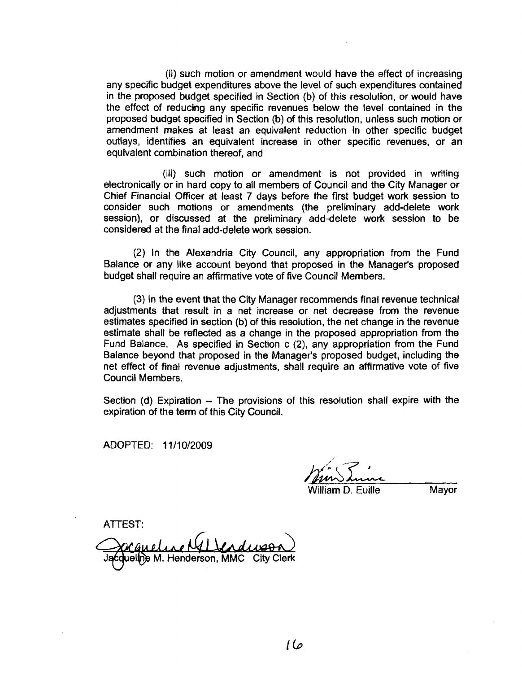(ii) such motion or amendment would have the effect of increasing any specific budget expenditures above the level of such expenditures contained in the proposed budget specified in Section (b) of this resolution, or would have the effect of reducing any specific revenues below the level contained in the proposed budget specified in Section (b) of this resolution, unless such motion or amendment makes at least an equivalent reduction in other specific budget outlays, identifies an equivalent increase in other specific revenues, or an equivalent combination thereof, and

(iii) such motion or amendment is not provided in writing electronically or in hard copy to all members of Council and the City Manager or Chief Financial Officer at least 7 days before the first budget work session to consider such motions or amendments (the preliminary add-delete work session), or discussed at the preliminary add-delete work session to be considered at the final add-delete work session.

(2) In the Alexandria City Council, any appropriation from the Fund Balance or any like account beyond that proposed in the Manager's proposed budget shall require an affirmative vote of five Council Members.

(3) In the event that the City Manager recommends final revenue technical adjustments that result in a net increase or net decrease from the revenue estimates specified in section (b) of this resolution, the net change in the revenue estimate shall be reflected as a change in the proposed appropriation from the Fund Balance. As specified in Section c **(2),** any appropriation from the Fund Balance beyond that proposed in the Manager's proposed budget, including the net effect of final revenue adjustments, shall require an affirmative vote of five Council Members.

Section (d) Expiration  $-$  The provisions of this resolution shall expire with the expiration of the term of this City Council.

ADOPTED: **1** 111 012009

William D. Euille Mayor

ATTEST: **r**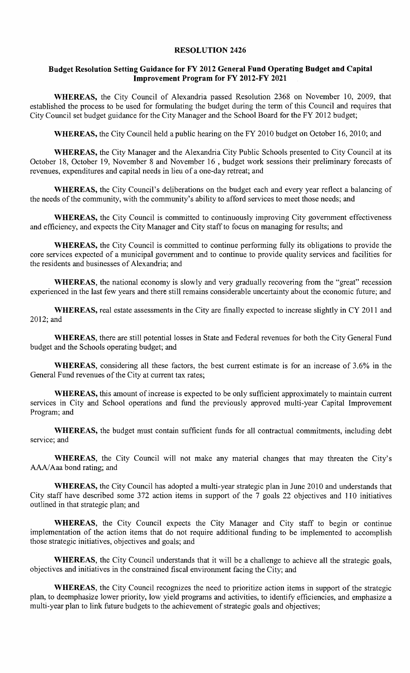#### RESOLUTION **2426**

#### Budget Resolution Setting Guidance for **FY 2012** General Fund Operating Budget and Capital **Improvement Program for FY 2012-FY 2021**

WHEREAS, the City Council of Alexandria passed Resolution 2368 on November 10, 2009, that established the process to be used for formulating the budget during the term of this Council and requires that City Council set budget guidance for the City Manager and the School Board for the FY 2012 budget;

WHEREAS, the City Council held a public hearing on the FY 2010 budget on October 16, 2010; and

WHEREAS, the City Manager and the Alexandria City Public Schools presented to City Council at its October 18, October 19, November 8 and November 16 , budget work sessions their preliminary forecasts of revenues, expenditures and capital needs in lieu of a one-day retreat; and

WHEREAS, the City Council's deliberations on the budget each and every year reflect a balancing of the needs of the community, with the community's ability to afford services to meet those needs; and

WHEREAS, the City Council is committed to continuously improving City government effectiveness and efficiency, and expects the City Manager and City staff to focus on managing for results; and

WHEREAS, the City Council is committed to continue performing fully its obligations to provide the core services expected of a municipal government and to continue to provide quality services and facilities for the residents and businesses of Alexandria; and

WHEREAS, the national economy is slowly and very gradually recovering from the "great" recession experienced in the last few years and there still remains considerable uncertainty about the economic future; and

WHEREAS, real estate assessments in the City are finally expected to increase slightly in CY 2011 and 2012; and

WHEREAS, there are still potential losses in State and Federal revenues for both the City General Fund budget and the Schools operating budget; and

WHEREAS, considering all these factors, the best current estimate is for an increase of 3.6% in the General Fund revenues of the City at current tax rates;

WHEREAS, this amount of increase is expected to be only sufficient approximately to maintain current services in City and School operations and fund the previously approved multi-year Capital Improvement Program; and

WHEREAS, the budget must contain sufficient funds for all contractual commitments, including debt service; and

WHEREAS, the City Council will not make any material changes that may threaten the City's AAAlAaa bond rating; and

WHEREAS, the City Council has adopted a multi-year strategic plan in June 2010 and understands that City staff have described some 372 action items in support of the 7 goals 22 objectives and 110 initiatives outlined in that strategic plan; and

WHEREAS, the City Council expects the City Manager and City staff to begin or continue implementation of the action items that do not require additional funding to be implemented to accomplish those strategic initiatives, objectives and goals; and

WHEREAS, the City Council understands that it will be a challenge to achieve all the strategic goals, objectives and initiatives in the constrained fiscal environment facing the City; and

WHEREAS, the City Council recognizes the need to prioritize action items in support of the strategic plan, to deemphasize lower priority, low yield programs and activities, to identify efficiencies, and emphasize a multi-year plan to link future budgets to the achievement of strategic goals and objectives;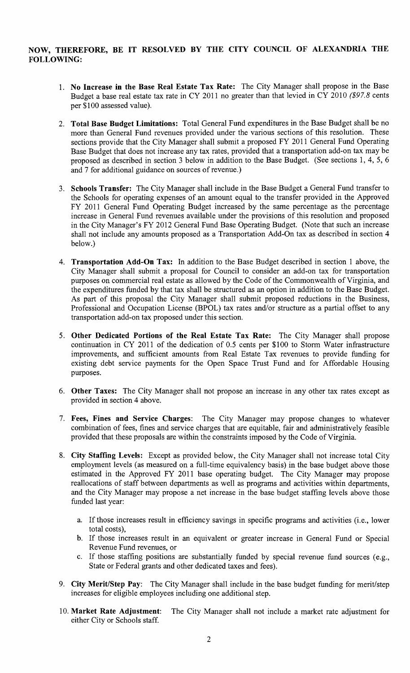### **NOW, THEREFORE, BE IT RESOLVED BY THE CITY COUNCIL OF ALEXANDRIA THE FOLLOWING:**

- 1. **No Increase in the Base Real Estate Tax Rate:** The City Manager shall propose in the Base Budget a base real estate tax rate in CY 2011 no greater than that levied in CY 2010 (\$97.8 cents per \$100 assessed value).
- 2. **Total Base Budget Limitations:** Total General Fund expenditures in the Base Budget shall be no more than General Fund revenues provided under the various sections of this resolution. These sections provide that the City Manager shall submit a proposed FY 2011 General Fund Operating Base Budget that does not increase any tax rates, provided that a transportation add-on tax may be proposed as described in section 3 below in addition to the Base Budget. (See sections 1, 4, 5, 6 and 7 for additional guidance on sources of revenue.)
- **3. Schools Transfer:** The City Manager shall include in the Base Budget a General Fund transfer to the Schools for operating expenses of an amount equal to the transfer provided in the Approved FY 2011 General Fund Operating Budget increased by the same percentage as the percentage increase in General Fund revenues available under the provisions of this resolution and proposed in the City Manager's FY 2012 General Fund Base Operating Budget. (Note that such an increase shall not include any amounts proposed as a Transportation Add-On tax as described in section 4 below.)
- 4. **Transportation Add-On Tax: In** addition to the Base Budget described in section 1 above, the City Manager shall submit a proposal for Council to consider an add-on tax for transportation purposes on commercial real estate as allowed by the Code of the Commonwealth of Virginia, and the expenditures funded by that tax shall be structured as an option in addition to the Base Budget. As part of this proposal the City Manager shall submit proposed reductions in the Business, Professional and Occupation License (BPOL) tax rates and/or structure as a partial offset to any transportation add-on tax proposed under this section.
- 5. **Other Dedicated Portions of the Real Estate Tax Rate:** The City Manager shall propose continuation in CY 2011 of the dedication of  $0.5$  cents per \$100 to Storm Water infrastructure improvements, and sufficient amounts from Real Estate Tax revenues to provide funding for existing debt service payments for the Open Space Trust Fund and for Affordable Housing purposes.
- 6. **Other Taxes:** The City Manager shall not propose an increase in any other tax rates except as provided in section 4 above.
- 7. Fees, Fines and Service Charges: The City Manager may propose changes to whatever combination of fees, fines and service charges that are equitable, fair and administratively feasible provided that these proposals are within the constraints imposed by the Code of Virginia.
- 8. **City Staffing Levels:** Except as provided below, the City Manager shall not increase total City employment levels (as measured on a full-time equivalency basis) in the base budget above those estimated in the Approved FY 2011 base operating budget. The City Manager may propose reallocations of staff between departments as well as programs and activities within departments, and the City Manager may propose a net increase in the base budget staffing levels above those funded last year:
	- a. If those increases result in efficiency savings in specific programs and activities (i.e., lower total costs),
	- b. If those increases result in an equivalent or greater increase in General Fund or Special Revenue Fund revenues, or
	- c. If those staffing positions are substantially funded by special revenue fund sources (e.g., State or Federal grants and other dedicated taxes and fees).
- 9. City Merit/Step Pay: The City Manager shall include in the base budget funding for merit/step increases for eligible employees including one additional step.
- 10. **Market Rate Adjustment:** The City Manager shall not include a market rate adjustment for either City or Schools staff.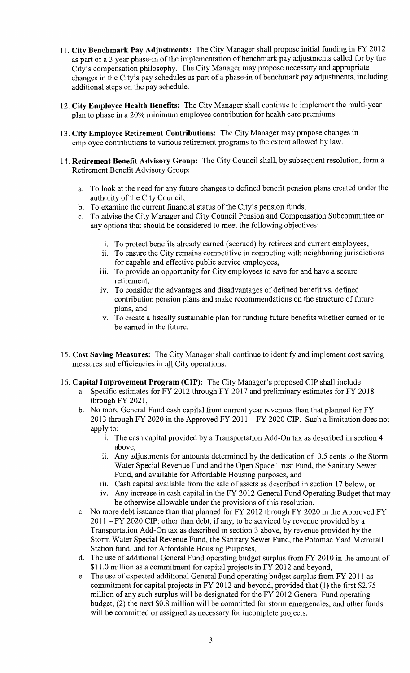- 11. **City Benchmark Pay Adjustments:** The City Manager shall propose initial funding in FY 2012 as part of a 3 year phase-in of the implementation of benchmark pay adjustments called for by the City's compensation philosophy. The City Manager may propose necessary and appropriate changes in the City's pay schedules as part of a phase-in of benchmark pay adjustments, including additional steps on the pay schedule.
- 12. **City Employee Health Benefits:** The City Manager shall continue to implement the multi-year plan to phase in a 20% minimum employee contribution for health care premiums.
- 13. **City Employee Retirement Contributions:** The City Manager may propose changes in employee contributions to various retirement programs to the extent allowed by law.
- 14. **Retirement Benefit Advisory Group:** The City Council shall, by subsequent resolution, form a Retirement Benefit Advisory Group:
	- a. To look at the need for any future changes to defined benefit pension plans created under the authority of the City Council,
	- b. To examine the current financial status of the City's pension funds,
	- c. To advise the City Manager and City Council Pension and Compensation Subcommittee on any options that should be considered to meet the following objectives:
		- i. To protect benefits already earned (accrued) by retirees and current employees,
		- **11.** To ensure the City remains competitive in competing with neighboring jurisdictions for capable and effective public service employees,
		- **in.** To provide an opportunity for City employees to save for and have a secure retirement,
		- iv. To consider the advantages and disadvantages of defined benefit vs. defined contribution pension plans and make recommendations on the structure of future plans, and
		- v. To create a fiscally sustainable plan for funding future benefits whether earned or to be earned in the future.
- 15. **Cost Saving Measures:** The City Manager shall continue to identify and implement cost saving measures and efficiencies in *glJ* City operations.
- 16. **Capital Improvement Program (CIP):** The City Manager's proposed CIP shall include:
	- a. Specific estimates for FY 2012 through FY 2017 and preliminary estimates for FY 2018 through FY 2021,
	- b. No more General Fund cash capital from current year revenues than that planned for FY 2013 through FY 2020 in the Approved FY 2011 – FY 2020 CIP. Such a limitation does not apply to:
		- i. The cash capital provided by a Transportation Add-On tax as described in section 4 above.
		- ii. Any adjustments for amounts determined by the dedication of 0.5 cents to the Storm Water Special Revenue Fund and the Open Space Trust Fund, the Sanitary Sewer Fund, and available for Affordable Housing purposes, and
		- iii. Cash capital available from the sale of assets as described in section 17 below, or
		- iv. Any increase in cash capital in the FY 2012 General Fund Operating Budget that may be otherwise allowable under the provisions of this resolution.
	- c. No more debt issuance than that planned for FY 2012 through FY 2020 in the Approved FY  $2011 - FY 2020$  CIP; other than debt, if any, to be serviced by revenue provided by a Transportation Add-On tax as described in section 3 above, by revenue provided by the Storm Water Special Revenue Fund, the Sanitary Sewer Fund, the Potomac Yard Metrorail Station fund, and for Affordable Housing Purposes,
	- d. The use of additional General Fund operating budget surplus from FY 2010 in the amount of \$1 1.0 million as a commitment for capital projects in FY 2012 and beyond,
	- e. The use of expected additional General Fund operating budget surplus from FY 2011 as commitment for capital projects in FY 2012 and beyond, provided that (1) the first \$2.75 million of any such surplus will be designated for the FY 2012 General Fund operating budget, (2) the next \$0.8 million will be committed for storm emergencies, and other funds will be committed or assigned as necessary for incomplete projects,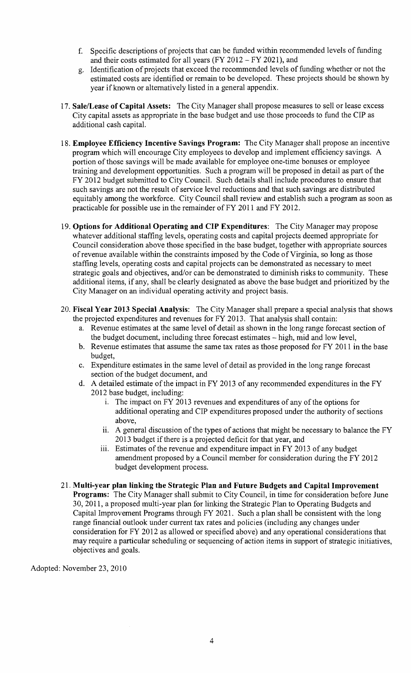- f. Specific descriptions of projects that can be funded within recommended levels of funding and their costs estimated for all years (FY 2012 - FY 2021), and
- g. Identification of projects that exceed the recommended levels of funding whether or not the estimated costs are identified or remain to be developed. These projects should be shown by year if known or alternatively listed in a general appendix.
- 17. Sale/Lease of Capital Assets: The City Manager shall propose measures to sell or lease excess City capital assets as appropriate in the base budget and use those proceeds to fund the CIP as additional cash capital.
- **18. Employee Efficiency Incentive Savings Program:** The City Manager shall propose an incentive program which will encourage City employees to develop and implement efficiency savings. A portion of those savings will be made available for employee one-time bonuses or employee training and development opportunities. Such a program will be proposed in detail as part of the FY 2012 budget submitted to City Council. Such details shall include procedures to ensure that such savings are not the result of service level reductions and that such savings are distributed equitably among the workforce. City Council shall review and establish such a program as soon as practicable for possible use in the remainder of FY 2011 and FY 2012.
- 19. **Options for Additional Operating and CIP Expenditures:** The City Manager may propose whatever additional staffing levels, operating costs and capital projects deemed appropriate for Council consideration above those specified in the base budget, together with appropriate sources of revenue available within the constraints imposed by the Code of Virginia, so long as those staffing levels, operating costs and capital projects can be demonstrated as necessary to meet strategic goals and objectives, and/or can be demonstrated to diminish risks to community. These additional items, if any, shall be clearly designated as above the base budget and prioritized by the City Manager on an individual operating activity and project basis.
- 20. **Fiscal Year 2013 Special Analysis:** The City Manager shall prepare a special analysis that shows the projected expenditures and revenues for FY 20 13. That analysis shall contain:
	- a. Revenue estimates at the same level of detail as shown in the long range forecast section of the budget document, including three forecast estimates - high, mid and low level,
	- b. Revenue estimates that assume the same tax rates as those proposed for FY 2011 in the base budget,
	- c. Expenditure estimates in the same level of detail as provided in the long range forecast section of the budget document, and
	- d. A detailed estimate of the impact in FY 2013 of any recommended expenditures in the FY 2012 base budget, including:
		- i. The impact on FY 2013 revenues and expenditures of any of the options for additional operating and CIP expenditures proposed under the authority of sections above,
		- ii. A general discussion of the types of actions that might be necessary to balance the FY 2013 budget if there is a projected deficit for that year, and
		- **111.** Estimates of the revenue and expenditure impact in FY 2013 of any budget amendment proposed by a Council member for consideration during the FY 2012 budget development process.
- **Multi-year plan linking the Strategic Plan and Future Budgets and Capital Improvement Programs:** The City Manager shall submit to City Council, in time for consideration before June 30, 201 1, a proposed multi-year plan for linking the Strategic Plan to Operating Budgets and Capital Improvement Programs through FY 2021. Such a plan shall be consistent with the long range financial outlook under current tax rates and policies (including any changes under consideration for FY 2012 as allowed or specified above) and any operational considerations that may require a particular scheduling or sequencing of action items in support of strategic initiatives, objectives and goals.

Adopted: November 23,2010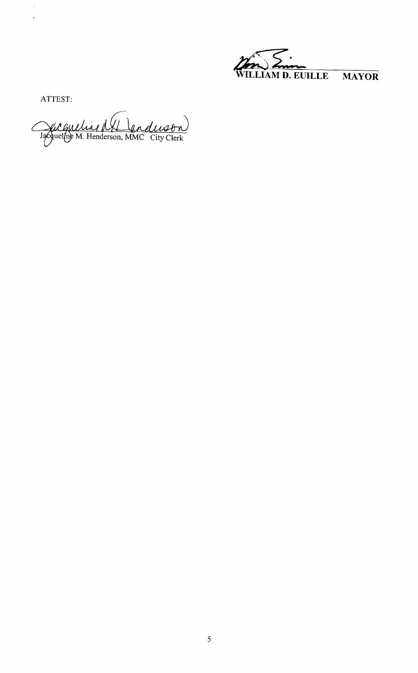

ATTEST:

 $\ddot{\phantom{0}}$  $\bar{\bar{\nu}}$ 

Jacqueline NH Lenduson